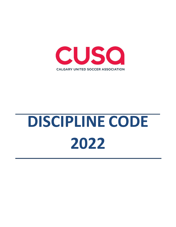

# <span id="page-0-0"></span>**DISCIPLINE CODE 2022**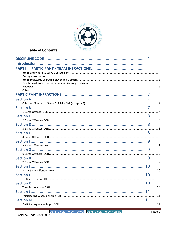

# **Table of Contents**

| <b>PART I</b> |  |
|---------------|--|
|               |  |
|               |  |
|               |  |
|               |  |
|               |  |
|               |  |
|               |  |
|               |  |
|               |  |
|               |  |
|               |  |
|               |  |
|               |  |
|               |  |
|               |  |
|               |  |
|               |  |
|               |  |
|               |  |
|               |  |
|               |  |
|               |  |
|               |  |
|               |  |
|               |  |
|               |  |
|               |  |
|               |  |
|               |  |
|               |  |
|               |  |
|               |  |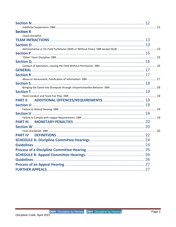| <b>Section X</b> |  |
|------------------|--|
| Coach discipline |  |
|                  |  |
|                  |  |
|                  |  |
|                  |  |
|                  |  |
|                  |  |
|                  |  |
|                  |  |
|                  |  |
|                  |  |
|                  |  |
|                  |  |
|                  |  |
|                  |  |
| <b>PART II</b>   |  |
|                  |  |
|                  |  |
|                  |  |
|                  |  |
| <b>PART III</b>  |  |
|                  |  |
|                  |  |
| <b>PART IV</b>   |  |
|                  |  |
|                  |  |
|                  |  |
|                  |  |
|                  |  |
|                  |  |
|                  |  |
|                  |  |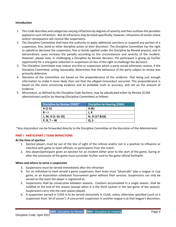## <span id="page-3-0"></span>**Introduction**

- 1. This Code describes and categorizes varying infractions by degrees of severity and then outlines the penalties applied to such infractions. Not all infractions may be listed specifically; however, infractions of similar intent and/or consequence will receive like suspensions.
- 2. The Discipline Committee shall have the authority to apply additional sanctions or suspend any portion of a suspension, fine, bond or other discipline action at their discretion. The Discipline Committee has the right to uphold or decrease the suspension, fine or bonds applied under the Discipline by Review process, and in extraordinary cases increase the penalty according to the circumstances and severity of the incident. However, please note, in challenging a Discipline by Review decision, the participant is giving up his/her opportunity for a one game reduction in suspension (in lieu of the right to challenge the decision).
- 3. The Discipline Committee may reduce any fine or suspension which a party would otherwise receive, if the Discipline Committee, acting reasonably, determines that the behaviour of the party subject to review was primarily defensive.
- 4. Decisions of the Committee are based on the preponderance of the evidence- that being just enough information to make it more likely than not that the alleged misconduct occurred. This preponderance is based on the more convincing evidence and its probable truth or accuracy, and not on the amount of evidence.
- 5. Misconduct, as defined by the Discipline Code Sections, may be adjudicated either by Review (CUSA administrator) and/or by Hearing (Discipline Committee) as follows:

| Discipline by Review (DBR)* | <b>Discipline by Hearing (DBH)</b> |
|-----------------------------|------------------------------------|
| $A(1-5)$                    | A(6)                               |
| $B - I$                     | J, K                               |
| L, M, O (1-16 19)           | N, O (17 & 18)                     |
| $P, R, T-W$                 | Q. S                               |

\*Any misconduct can be forwarded directly to the Discipline Committee at the discretion of the Administrator

# <span id="page-3-1"></span>**PART I PARTICIPANT / TEAM INFRACTIONS**

#### **At the time of ejection**

- 1. Ejected players must be out of the line of sight of the referee and/or not in a position to influence or interfere with game or team officials, or participants from the match.
- 2. Any player/participant given an ejection for an incident either prior to the start of the game, during or after the conclusion of the game must surrender his/her card to the game official forthwith.

#### <span id="page-3-2"></span>**When and where to serve a suspension**

- 3. Suspensions must be served immediately after the infraction
- 4. For an individual to have served a game suspension, their team must "physically" play a League or Cup game, or an Association scheduled Tournament game without their services. Suspensions can only be served on the team the player is registered to.
- 5. Suspensions shall be consecutive between seasons. Cautions accumulated in a single season, shall be nullified at the end of the season (except when it is the third caution in the last game of the season). Suspensions carry into the next season played.
- 6. A suspension earned in CUSA is to be served exclusively in CUSA, unless otherwise specified (such as a suspension from 'all of soccer'). A concurrent suspension in another league is at that league's discretion.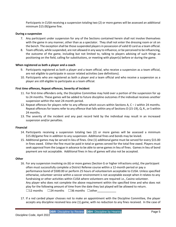Participants in CUSA receiving a suspension totaling two (2) or more games will be assessed an additional minimum \$15.00/game fine.

#### <span id="page-4-0"></span>**During a suspension**

- 7. Any participant under suspension for any of the Sections contained herein shall not involve themselves with the game in any manner, other than as a spectator. They shall not enter the dressing room or sit on the bench. The exception shall be those suspended players in possession of valid ID card as a team official.
- 8. Team officials, while suspended, are not allowed in any way to influence, or be perceived to be influencing, the outcome of the game, including but not limited to, talking to players advising of such things as positioning on the field, calling for substitutions, or meeting with player(s) before or during the game.

#### <span id="page-4-1"></span>**When registered as both a player and a coach**

- 9. Participants registered as both a player and a team official, who receive a suspension as a team official, are not eligible to participate in soccer related activities (see definitions).
- 10. Participants who are registered as both a player and a team official and who receive a suspension as a player are still eligible to participate as a team official.

#### <span id="page-4-2"></span>**First time offences, Repeat offences, Severity of incident**

- 11. For first-time offenders only, the Discipline Committee may hold over a portion of the suspension for up to 24 months. These games will be added to future discipline outcomes if the individual receives another suspension within the next 24-month period.
- 12. Repeat offences for players refer to any offence which occurs within Sections A, C J within 24 months. Repeat offences for teams refer to any offence that falls within any of Sections O (15-19), Q, R., or S within 24 months.
- 13. The severity of the incident and any past record held by the individual may result in an increased suspension and/or penalties.

#### <span id="page-4-3"></span>**Financial**

- 14. Participants receiving a suspension totaling two (2) or more games will be assessed a minimum \$15.00/game fine in addition to any suspension. Additional fines and bonds may be levied.
- 15. Additional games may be served In lieu of fines. One (1) additional game must be served for every \$15.00 in fines owed. Either the fine must be paid in total or games served for the total fine owed. Players must seek approval from the League in advance to be able to serve games in lieu of fines. Games in lieu of bond payment are not acceptable. Additional fines in lieu of games will also not be accepted.

#### <span id="page-4-4"></span>**Other**

- 16. For any suspension involving six (6) or more games (Section G or higher infractions only), the participant often must successfully complete a District Referee course within a 12-month period or pay a performance bond of \$500.00 or perform 25 hours of volunteerism acceptable to CUSA. Unless specified otherwise, volunteer service within a soccer environment is not acceptable except when it relates to any fundraising or other activities within CUSA where volunteers are required i.e., Casino volunteer. Any player who does not complete the above requirement within the specified time and who does not play for the following amount of time from the date they last played will be allowed to return. ☐12 months ☐24 months ☐36 months ☐other\_\_\_\_\_\_\_\_\_\_\_\_
- 17. If a red carded player chooses not to make an appointment with the Discipline Committee, the player accepts any discipline received less one (1) game, with no reduction to any fines received. In the case of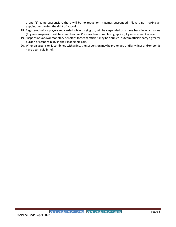a one (1) game suspension, there will be no reduction in games suspended. Players not making an appointment forfeit the right of appeal.

- 18. Registered minor players red carded while playing up, will be suspended on a time basis in which a one (1) game suspension will be equal to a one (1) week ban from playing up, i.e., 4 games equal 4 weeks.
- 19. Suspensions and/or monetary penalties for team officials may be doubled, as team officials carry a greater burden of responsibility in their leadership role.
- 20. When a suspension is combined with a fine, the suspension may be prolonged until any fines and/or bonds have been paid in full.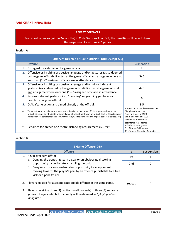#### <span id="page-6-0"></span>**PARTICIPANT INFRACTIONS**

#### **REPEAT OFFENCES**

For repeat offences (within **24** months) in Code Sections A, or C- F, the penalties will be as follows: the suspension listed plus 2-7 games.

#### <span id="page-6-1"></span>**Section A**

<span id="page-6-2"></span>

| <b>Offences Directed at Game Officials- DBR (except A 6)</b> |                                                                                                                                                                                                                                                                                                                                |                                                                                                                                                   |  |  |
|--------------------------------------------------------------|--------------------------------------------------------------------------------------------------------------------------------------------------------------------------------------------------------------------------------------------------------------------------------------------------------------------------------|---------------------------------------------------------------------------------------------------------------------------------------------------|--|--|
| <b>Offence</b>                                               |                                                                                                                                                                                                                                                                                                                                | Suspension                                                                                                                                        |  |  |
| 1.                                                           | Disregard for a decision of a game official.                                                                                                                                                                                                                                                                                   | 2                                                                                                                                                 |  |  |
| 2.                                                           | Offensive or insulting or abusive language and/or gestures (as so deemed<br>by the game official) directed at the game official and at a game where at<br>least two (2) CS assigned officials are in attendance                                                                                                                | $3 - 5$                                                                                                                                           |  |  |
| 3.                                                           | Offensive or insulting or abusive language and/or minor indecent<br>gestures (as so deemed by the game official) directed at a game official<br>and at a game where only one (1) CS assigned official is in attendance.                                                                                                        | 4- 6                                                                                                                                              |  |  |
| 4.                                                           | Serious indecent gestures, i.e., "mooning" or grabbing genital area<br>directed at a game official.                                                                                                                                                                                                                            | 6                                                                                                                                                 |  |  |
| 5.                                                           | OIAL after ejection and aimed directly at the official.                                                                                                                                                                                                                                                                        | $3 - 5$                                                                                                                                           |  |  |
| 6.                                                           | Threats of harm or violence, either actual or implied, aimed at an official or people close to the<br>official; attempts to intimidate or intimidation of official, spitting at an official. Sent to Alberta Soccer<br>Association for consideration as to whether they will facilitate Hearing or pass back to District (DBH) | Suspension: at the discretion of the<br>Discipline Committee.<br>Fine: to a max. of \$500<br>Bond: to a max. of \$1000<br>Possible referee course |  |  |
| 7.                                                           | Penalties for breach of 2-metre distancing requirement (June 2021)                                                                                                                                                                                                                                                             | 1st offence = $2-4$ games<br>$2nd$ offence = 5-8 games<br>$3rd$ offence = 9-12 games<br>$4th$ offence = Discipline Committee                      |  |  |

#### <span id="page-6-3"></span>**Section B**

<span id="page-6-4"></span>

| <b>1 Game Offence- DBR</b>                                                                                                                                           |        |                   |  |
|----------------------------------------------------------------------------------------------------------------------------------------------------------------------|--------|-------------------|--|
| <b>Offence</b>                                                                                                                                                       | #      | <b>Suspension</b> |  |
| Any player sent off for<br>1.<br>a. Denying the opposing team a goal or an obvious goal-scoring                                                                      | 1st    |                   |  |
| opportunity by deliberately handling the ball.                                                                                                                       | 2nd    | 2                 |  |
| b. Denying an obvious goal-scoring opportunity to an opponent<br>moving towards the player's goal by an offence punishable by a free<br>kick or a penalty kick.      |        |                   |  |
| Players ejected for a second cautionable offence in the same game.<br>2.                                                                                             | repeat | 4                 |  |
| Players receiving three (3) cautions (yellow cards) in three (3) separate<br>3.<br>games. Players who fail to comply will be deemed as "playing when<br>ineligible." |        |                   |  |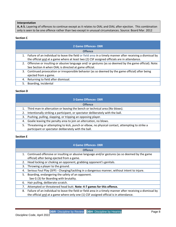# **Interpretation**

**A, A 5.** Layering of offences to continue except as it relates to OIAL and OIAL after ejection. This combination only is seen to be one offence rather than two except in unusual circumstances. Source: Board Mar. 2012

# <span id="page-7-0"></span>**Section C**

<span id="page-7-1"></span>

|    | <b>2 Game Offences- DBR</b>                                                                                                                                                                                   |  |  |  |
|----|---------------------------------------------------------------------------------------------------------------------------------------------------------------------------------------------------------------|--|--|--|
|    | <b>Offence</b>                                                                                                                                                                                                |  |  |  |
|    | 1. Failure of an individual to leave the field or field area in a timely manner after receiving a dismissal by<br>the official and at a game where at least two (2) CSF assigned officials are in attendance. |  |  |  |
|    | 2. Offensive or insulting or abusive language and/ or gestures (as so deemed by the game official). Note:<br>See Section A when OIAL is directed at game official.                                            |  |  |  |
|    | 3. Continued provocation or irresponsible behavior (as so deemed by the game official) after being<br>ejected from a game.                                                                                    |  |  |  |
|    | 4. Returning to field after dismissal.                                                                                                                                                                        |  |  |  |
| 5. | Boarding, incidental                                                                                                                                                                                          |  |  |  |

#### <span id="page-7-2"></span>**Section D**

<span id="page-7-3"></span>

|    | <b>3 Game Offences-DBR</b>                                                                                                                             |
|----|--------------------------------------------------------------------------------------------------------------------------------------------------------|
|    | <b>Offence</b>                                                                                                                                         |
| 1. | Third man-in altercation or leaving the bench or technical area (No blows).                                                                            |
| 2. | Intentionally striking a participant, or spectator deliberately with the ball.                                                                         |
|    | 3. Pushing, pulling, slapping, or tripping an opposing player.                                                                                         |
|    | 4. Goalie leaving the penalty area to join an altercation, no blows.                                                                                   |
| 5. | Threatening or attempting to kick, punch or elbow, no physical contact, attempting to strike a<br>participant or spectator deliberately with the ball. |

#### <span id="page-7-4"></span>**Section E**

<span id="page-7-5"></span>

|    | <b>4 Game Offences- DBR</b>                                                                                                                                                                             |
|----|---------------------------------------------------------------------------------------------------------------------------------------------------------------------------------------------------------|
|    | <b>Offence</b>                                                                                                                                                                                          |
|    | 1. Continued offensive or insulting or abusive language and/or gestures (as so deemed by the game<br>official) after being ejected from a game.                                                         |
| 2. | Head locking or choking an opponent, grabbing opponent's genitals.                                                                                                                                      |
| 3. | Throwing a player to the ground.                                                                                                                                                                        |
| 4. | Serious Foul Play (SFP) - Charging/tackling in a dangerous manner, without intent to injure.                                                                                                            |
|    | 5. Boarding, endangering the safety of an opponent.<br>See G (3) for Boarding with brutality.                                                                                                           |
| 6. | Hair pulling, deliberate scratch.                                                                                                                                                                       |
| 7. | Attempted or threatened head butt. Note: 4-7 games for this offence.                                                                                                                                    |
|    | 8. Failure of an individual to leave the field or field area in a timely manner after receiving a dismissal by<br>the official and at a game where only one (1) CSF assigned official is in attendance. |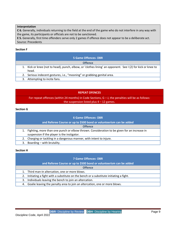#### **Interpretation**

**C 6.** Generally, individuals returning to the field at the end of the game who do not interfere in any way with the game, its participants or officials are not to be sanctioned.

**E 5.** Generally, first time offenders serve only 2 games if offence does not appear to be a deliberate act. Source: Precedents

### <span id="page-8-0"></span>**Section F**

<span id="page-8-1"></span>

| 5 Game Offences- DBR |                                                                                                                      |  |  |
|----------------------|----------------------------------------------------------------------------------------------------------------------|--|--|
| <b>Offence</b>       |                                                                                                                      |  |  |
|                      | 1. Kick or knee (not to head), punch, elbow, or 'clothes lining' an opponent. See I (2) for kick or knee to<br>head. |  |  |
|                      | 2. Serious indecent gestures, i.e., "mooning" or grabbing genital area.                                              |  |  |
| 3.                   | Attempting to incite fans.                                                                                           |  |  |

# **REPEAT OFENCES**

# For repeat offences (within 24 months) in Code Sections, G – J, the penalties will be as follows: the suspension listed plus  $4 - 12$  games.

#### <span id="page-8-2"></span>**Section G**

<span id="page-8-3"></span>

|    | <b>6 Game Offences- DBR</b>                                                                                                                   |
|----|-----------------------------------------------------------------------------------------------------------------------------------------------|
|    | and Referee Course or up to \$500 bond or volunteerism can be added                                                                           |
|    | <b>Offence</b>                                                                                                                                |
|    | 1. Fighting, more than one punch or elbow thrown. Consideration to be given for an increase in<br>suspension if the player is the instigator. |
|    | 2. Charging or tackling in a dangerous manner, with intent to injure.                                                                         |
| 3. | Boarding – with brutality.                                                                                                                    |
|    |                                                                                                                                               |

#### <span id="page-8-4"></span>**Section H**

<span id="page-8-5"></span>

|    | <b>7 Game Offences- DBR</b>                                                           |
|----|---------------------------------------------------------------------------------------|
|    | and Referee Course or up to \$500 bond or volunteerism can be added                   |
|    | <b>Offence</b>                                                                        |
|    | 1. Third man-in altercation, one or more blows.                                       |
| 2. | Initiating a fight with a substitute on the bench or a substitute initiating a fight. |
| 3. | Individuals leaving the bench to join an altercation.                                 |
| 4. | Goalie leaving the penalty area to join an altercation, one or more blows.            |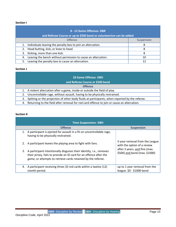# <span id="page-9-0"></span>**Section I**

<span id="page-9-1"></span>

| 8 - 12 Game Offences - DBR<br>and Referee Course or up to \$500 bond or volunteerism can be added |            |  |  |
|---------------------------------------------------------------------------------------------------|------------|--|--|
| <b>Offence</b>                                                                                    | Suspension |  |  |
| Individuals leaving the penalty box to join an altercation.<br>1.                                 | 8          |  |  |
| 2. Head butting, kick, or knee to head.                                                           | 8          |  |  |
| 3. Kicking, more than one kick.                                                                   | 8          |  |  |
| Leaving the bench without permission to cause an altercation.<br>4.                               | 10         |  |  |
| Leaving the penalty box to cause an altercation.<br>5.                                            | 12         |  |  |

#### <span id="page-9-2"></span>**Section J**

<span id="page-9-3"></span>

| <b>18 Game Offence- DBH</b>                                                                       |
|---------------------------------------------------------------------------------------------------|
| and Referee Course or \$500 bond                                                                  |
| <b>Offence</b>                                                                                    |
| 1. A violent altercation after a game, inside or outside the field of play.                       |
| 2. Uncontrollable rage, without assault, having to be physically restrained.                      |
| 3. Spitting or the projection of other body fluids at participants, when reported by the referee. |
| 4. Returning to the field after removal for red card offence to join or cause an altercation.     |

# <span id="page-9-4"></span>**Section K**

<span id="page-9-5"></span>

| <b>Time Suspensions- DBH</b>                                                                                                                                                                                    |                                                                |  |  |  |  |  |
|-----------------------------------------------------------------------------------------------------------------------------------------------------------------------------------------------------------------|----------------------------------------------------------------|--|--|--|--|--|
| <b>Offence</b>                                                                                                                                                                                                  | <b>Suspension</b>                                              |  |  |  |  |  |
| 1. A participant is ejected for assault in a fit on uncontrollable rage,<br>having to be physically restrained.                                                                                                 |                                                                |  |  |  |  |  |
| 2. A participant leaves the playing area to fight with fans.                                                                                                                                                    | 5-year removal from the League<br>with the option of a review  |  |  |  |  |  |
| A participant intentionally disguises their identity, i.e., removes<br>3.<br>their jersey, fails to provide an ID card for an offence after the<br>game, or attempts to retrieve cards retained by the referee. | after 3 years, and fine (max.<br>\$500) and bond (max. \$1000) |  |  |  |  |  |
| A participant receiving three (3) red cards within a twelve (12)<br>4.<br>month period.                                                                                                                         | up to 1 year removal from the<br>league. \$0 - \$1000 bond     |  |  |  |  |  |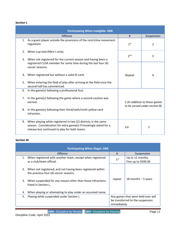# <span id="page-10-0"></span>**Section L**

<span id="page-10-1"></span>

| <b>Participating When Ineligible- DBR</b> |                                                                                                                                                                                     |                                                                |                   |  |
|-------------------------------------------|-------------------------------------------------------------------------------------------------------------------------------------------------------------------------------------|----------------------------------------------------------------|-------------------|--|
|                                           | <b>Offence</b>                                                                                                                                                                      | #                                                              | <b>Suspension</b> |  |
|                                           | 1. As a guest player outside the provisions of the restrictive movement<br>regulation.                                                                                              | 1 <sup>st</sup>                                                | $\overline{2}$    |  |
| 2.                                        | When cup-tied (Men's only).                                                                                                                                                         | 2 <sup>nd</sup>                                                | 3                 |  |
| 3.                                        | When not registered for the current season and having been a<br>registered CUSA member for some time during the last four (4)<br>soccer seasons.                                    |                                                                |                   |  |
| 4.                                        | When registered but without a valid ID card.                                                                                                                                        | Repeat                                                         | 4                 |  |
| 5.                                        | When entering the field of play after arriving at the field once the<br>second half has commenced.                                                                                  |                                                                |                   |  |
| 6.                                        | In the game(s) following a professional foul.                                                                                                                                       |                                                                |                   |  |
| 7.                                        | In the game(s) following the game where a second caution was<br>earned.                                                                                                             | 2 (In addition to those games<br>to be served under section B) |                   |  |
| 8.                                        | In the game(s) following their third/sixth/ninth yellow card<br>infraction.                                                                                                         |                                                                |                   |  |
| 9.                                        | When playing while registered in two (2) districts in the same<br>season. Consideration for extra game(s) if knowingly asked for a<br>release but continued to play for both teams. | 1st                                                            | 2                 |  |

### <span id="page-10-2"></span>**Section M**

<span id="page-10-3"></span>

| <b>Participating When Illegal- DBR</b> |                                                                                                     |                                                                                        |                                         |  |
|----------------------------------------|-----------------------------------------------------------------------------------------------------|----------------------------------------------------------------------------------------|-----------------------------------------|--|
|                                        | <b>Offence</b>                                                                                      | #                                                                                      | <b>Suspension</b>                       |  |
| 1.                                     | When registered with another team, except when registered<br>as a club/team official.               | 1 <sup>st</sup>                                                                        | Up to 12 months.<br>Fine up to \$500.00 |  |
| 2.                                     | When not registered, and not having been registered within<br>the previous four (4) soccer seasons. | repeat                                                                                 |                                         |  |
| 3.                                     | When suspended for any reason other than those infractions<br>listed in Section L.                  |                                                                                        | 18 months $-5$ years                    |  |
| 4.                                     | When playing or attempting to play under an assumed name.                                           |                                                                                        |                                         |  |
| 5.                                     | Playing while suspended under Section L                                                             | Any games that were held over will<br>be transferred to the suspension<br>immediately. |                                         |  |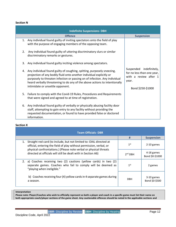#### <span id="page-11-0"></span>**Section N**

<span id="page-11-1"></span>

| <b>Indefinite Suspensions- DBH</b> |                                                                                                                                                                                                                                                                                                                                                |                                                                                                                 |  |
|------------------------------------|------------------------------------------------------------------------------------------------------------------------------------------------------------------------------------------------------------------------------------------------------------------------------------------------------------------------------------------------|-----------------------------------------------------------------------------------------------------------------|--|
|                                    | <b>Offence</b>                                                                                                                                                                                                                                                                                                                                 | <b>Suspension</b>                                                                                               |  |
| 1.                                 | Any individual found guilty of inviting spectators onto the field of play<br>with the purpose of engaging members of the opposing team.                                                                                                                                                                                                        |                                                                                                                 |  |
| 2.                                 | Any individual found guilty of uttering discriminatory slurs or similar<br>discriminatory remarks or gestures.                                                                                                                                                                                                                                 |                                                                                                                 |  |
| 3.                                 | Any individual found guilty inciting violence among spectators.                                                                                                                                                                                                                                                                                |                                                                                                                 |  |
| 4.                                 | Any individual found guilty of coughing, spitting, purposely sneezing,<br>projection of any bodily fluid onto another individual explicitly or<br>purposely to threaten infection or passing on of infection. Any individual<br>heard verbally threatening to do any of the above actions to intentionally<br>intimidate or unsettle opponent. | Suspended<br>indefinitely,<br>for no less than one year,<br>with a review after 1<br>year.<br>Bond \$250-\$1000 |  |
| 5.                                 | Failure to comply with the Covid-19 Rules, Procedures and Requirements<br>that were signed and agreed to at time of registration.                                                                                                                                                                                                              |                                                                                                                 |  |
| 6.                                 | Any individual found guilty of verbally or physically abusing facility door<br>staff, attempting to gain entry to any facility without providing the<br>requested documentation, or found to have provided false or doctored<br>information.                                                                                                   |                                                                                                                 |  |

#### **Section X**

| <b>Team Officials-DBR</b>                                                                                                                        |                                                                                                                                                                  |                 |                               |  |
|--------------------------------------------------------------------------------------------------------------------------------------------------|------------------------------------------------------------------------------------------------------------------------------------------------------------------|-----------------|-------------------------------|--|
|                                                                                                                                                  |                                                                                                                                                                  | #               | <b>Suspension</b>             |  |
| Straight red card (to include, but not limited to: OIAL directed at<br>1.<br>official, entering the field of play without permission, verbal, or | 1 <sup>st</sup>                                                                                                                                                  | 2-10 games      |                               |  |
| physical confrontations.) (Please note verbal or physical threats<br>directed at officials will still be dealt with in Section A6)               |                                                                                                                                                                  | $2nd$ DBH       | 4-18 games<br>Bond \$0-\$1000 |  |
|                                                                                                                                                  | 2. a) Coaches receiving two (2) cautions (yellow cards) in two (2)<br>separate games. Coaches who fail to comply will be deemed as<br>"playing when ineligible." | 1 <sup>st</sup> | 2 games                       |  |
|                                                                                                                                                  | b) Coaches receiving four (4) yellow cards in 4 separate games during<br>a season.                                                                               | <b>DBH</b>      | 3-10 games<br>Bond \$0-\$500  |  |

#### **Interpretation**

**Please note: Player/Coaches who wish to officially represent as both a player and coach in a specific game must list their name on both appropriate coach/player sections of the game sheet. Any cautionable offences should be noted in the applicable sections and**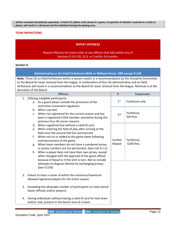**will be recorded cumulatively separately. A total of 2 yellow cards shown in a game, irrespective of whether received as a coach or player, will result in a dismissal and the individual leaving the playing area.**

#### <span id="page-12-0"></span>**TEAM INFRACTIONS**

### **REPEAT OFFENCES**

### Repeat offences for teams refer to any offence that falls within any of Sections O (15-19), Q, R, or S within 24 months.

#### <span id="page-12-2"></span><span id="page-12-1"></span>**Section O**

#### **Administrative or On-Field Forfeitures (With or Without Fines)- DBR except O (18)**

**Note:** Three (3) on-field forfeitures within a season results in a recommendation by the Discipline Committee to the Board for team removal from the league. A combination of four (4) administrative and on-field forfeitures will result in a recommendation to the Board for team removal from the league. Removal is at the discretion of the Board.

| <b>Offence</b>                                                                                                                                                                                                                                                                                                                                                                                                                                                                                                                                                                                                           | #                 | <b>Suspension</b>          |
|--------------------------------------------------------------------------------------------------------------------------------------------------------------------------------------------------------------------------------------------------------------------------------------------------------------------------------------------------------------------------------------------------------------------------------------------------------------------------------------------------------------------------------------------------------------------------------------------------------------------------|-------------------|----------------------------|
| 1. Utilizing ineligible participants:<br>As a guest player outside the provisions of the<br>a.<br>restrictive movement regulation.                                                                                                                                                                                                                                                                                                                                                                                                                                                                                       | 1 <sup>st</sup>   | Forfeiture only            |
| b. When cup tied.<br>c. When not registered for the current season and has<br>been a registered CUSA member sometime during the<br>previous four (4) soccer seasons.                                                                                                                                                                                                                                                                                                                                                                                                                                                     | 2 <sub>nd</sub>   | Forfeiture,<br>\$50 fine.  |
| d. When registered but without a valid ID card.<br>e. When entering the field of play after arriving at the<br>field once the second half has commenced.<br>f.<br>When not on or added to the game sheet following<br>commencement of the game.<br>When team members do not have a numbered jersey<br>g.<br>or jersey numbers are not permanent. (See rule 6.1.2).<br>h. When a player does not have their own jersey, except<br>when changed with the approval of the game official<br>because of blood or if the shirt is torn. Not to include<br>attempts to disguise identity by exchanging jerseys.<br>(See O (19)) | Further<br>Repeat | Forfeiture,<br>\$100 fine. |
| 2.<br>Failure to have a roster of within the minimum/maximum<br>allowed registered players for the entire season.                                                                                                                                                                                                                                                                                                                                                                                                                                                                                                        |                   |                            |
| Exceeding the allowable number of participants on team bench<br>3.<br>(team officials and/or players).                                                                                                                                                                                                                                                                                                                                                                                                                                                                                                                   |                   |                            |
| Having individuals without having a valid ID card for that team<br>4.<br>and/or club, present in the bench area of a team.                                                                                                                                                                                                                                                                                                                                                                                                                                                                                               |                   |                            |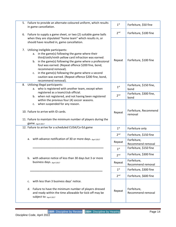|    | 5. Failure to provide an alternate-coloured uniform, which results<br>in game cancellation.                                                                                                                                                                                                                                                                                                                                     | 1 <sup>st</sup> | Forfeiture, \$50 fine            |
|----|---------------------------------------------------------------------------------------------------------------------------------------------------------------------------------------------------------------------------------------------------------------------------------------------------------------------------------------------------------------------------------------------------------------------------------|-----------------|----------------------------------|
| 6. | Failure to supply a game sheet, or two (2) suitable game balls                                                                                                                                                                                                                                                                                                                                                                  | 2 <sup>nd</sup> | Forfeiture, \$100 fine           |
|    | when they are stipulated "home team" which results in, or<br>should have resulted in, game cancellation.                                                                                                                                                                                                                                                                                                                        |                 |                                  |
| 7. | Utilizing ineligible participants:<br>a. in the game(s) following the game where their<br>third/sixth/ninth yellow card infraction was earned.<br>b. in the game(s) following the game where a professional<br>foul was earned. (Repeat offence \$200 fine, bond,<br>recommend removal).<br>c. in the game(s) following the game where a second<br>caution was earned. (Repeat offence \$200 fine, bond,<br>recommend removal). | Repeat          | Forfeiture, \$100 fine           |
| 8. | Utilizing illegal participants:<br>a. who is registered with another team, except when                                                                                                                                                                                                                                                                                                                                          | 1 <sup>st</sup> | Forfeiture, \$150 fine,<br>bond  |
|    | registered as a team/club official.<br>b. when not registered, and not having been registered                                                                                                                                                                                                                                                                                                                                   | 2 <sup>nd</sup> | Forfeiture, \$300 fine,<br>bond  |
|    | within the previous four (4) soccer seasons.<br>c. when suspended for any reason.                                                                                                                                                                                                                                                                                                                                               |                 |                                  |
|    | 10. Failure to arrive with ID cards.                                                                                                                                                                                                                                                                                                                                                                                            | Repeat          | Forfeiture, Recommend<br>removal |
|    | 11. Failure to maintain the minimum number of players during the<br>game. April 2017                                                                                                                                                                                                                                                                                                                                            |                 |                                  |
|    | 12. Failure to arrive for a scheduled CUSA/Co-Ed game                                                                                                                                                                                                                                                                                                                                                                           | 1 <sup>st</sup> | Forfeiture only                  |
|    |                                                                                                                                                                                                                                                                                                                                                                                                                                 | 2 <sup>nd</sup> | Forfeiture, \$150 fine           |
|    | a. with advance notification of 30 or more days. April 2017                                                                                                                                                                                                                                                                                                                                                                     | Repeat          | Forfeiture,<br>Recommend removal |
|    |                                                                                                                                                                                                                                                                                                                                                                                                                                 | 1 <sup>st</sup> | Forfeiture, \$150 fine           |
|    | with advance notice of less than 30 days but 3 or more<br>b.                                                                                                                                                                                                                                                                                                                                                                    | 2 <sup>nd</sup> | Forfeiture, \$300 fine           |
|    | business days. April 2017                                                                                                                                                                                                                                                                                                                                                                                                       | Repeat          | Forfeiture,<br>Recommend removal |
|    |                                                                                                                                                                                                                                                                                                                                                                                                                                 | 1 <sup>st</sup> | Forfeiture, \$300 fine           |
|    |                                                                                                                                                                                                                                                                                                                                                                                                                                 | 2 <sup>nd</sup> | Forfeiture, \$600 fine           |
|    | with less than 3 business days' notice.<br>c.                                                                                                                                                                                                                                                                                                                                                                                   |                 |                                  |
|    | Failure to have the minimum number of players dressed<br>d.<br>and ready within the time allowable for kick-off may be<br>subject to: April 2017                                                                                                                                                                                                                                                                                | Repeat          | Forfeiture,<br>Recommend removal |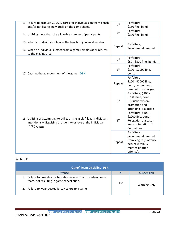| 13. Failure to produce CUSA ID cards for individuals on team bench<br>and/or not listing individuals on the game sheet.                                          | 1 <sup>st</sup> | Forfeiture.<br>\$150 fine, bond.                                                                                |
|------------------------------------------------------------------------------------------------------------------------------------------------------------------|-----------------|-----------------------------------------------------------------------------------------------------------------|
| 14. Utilizing more than the allowable number of participants.                                                                                                    | 2 <sub>nd</sub> | Forfeiture<br>\$300 fine, bond.                                                                                 |
| 15. When an individual(s) leaves the bench to join an altercation.<br>16. When an individual ejected from a game remains at or returns<br>to the playing area.   | Repeat          | Forfeiture,<br>Recommend removal                                                                                |
|                                                                                                                                                                  | 1 <sup>st</sup> | Forfeiture,<br>\$50 - \$500 fine, bond.                                                                         |
| 17. Causing the abandonment of the game. DBH                                                                                                                     | 2 <sup>nd</sup> | Forfeiture,<br>\$100 - \$2000 fine,<br>bond.                                                                    |
|                                                                                                                                                                  | Repeat          | Forfeiture,<br>\$100 - \$2000 fine,<br>bond, recommend<br>removal from league.                                  |
|                                                                                                                                                                  | 1 <sup>st</sup> | Forfeiture, \$100 -<br>\$2000 fine, bond.<br>Disqualified from<br>promotion and<br>attending Provincials        |
| 18. Utilizing or attempting to utilize an ineligible/illegal individual,<br>intentionally disguising the identity or role of the individual.<br>(DBH) April 2017 | 2 <sup>nd</sup> | Forfeiture, \$100 -<br>\$2000 fine, bond.<br>Relegation at season<br>end at discretion of<br>Committee          |
|                                                                                                                                                                  | Repeat          | Forfeiture.<br>Recommend removal<br>from league (if offence<br>occurs within 12<br>months of prior<br>offence). |

# <span id="page-14-0"></span>**Section P**

<span id="page-14-1"></span>

| 'Other' Team Discipline- DBR                                                                                                                                     |     |                     |  |
|------------------------------------------------------------------------------------------------------------------------------------------------------------------|-----|---------------------|--|
| <b>Offence</b>                                                                                                                                                   | #   | <b>Suspension</b>   |  |
| Failure to provide an alternate-coloured uniform when home<br>team, not resulting in game cancellation.<br>Failure to wear posted jersey colors to a game.<br>2. | 1st | <b>Warning Only</b> |  |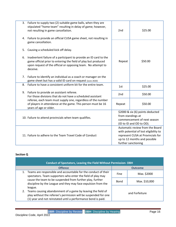| 3.<br>4. | Failure to supply two (2) suitable game balls, when they are<br>stipulated "home team" resulting in delay of game; however,<br>not resulting in game cancellation.<br>Failure to provide an official CUSA game sheet, not resulting in | 2 <sub>nd</sub>                                                                                                                                                      | \$25.00 |
|----------|----------------------------------------------------------------------------------------------------------------------------------------------------------------------------------------------------------------------------------------|----------------------------------------------------------------------------------------------------------------------------------------------------------------------|---------|
|          | game cancellation.                                                                                                                                                                                                                     |                                                                                                                                                                      |         |
| 5.       | Causing a scheduled kick off delay.                                                                                                                                                                                                    |                                                                                                                                                                      |         |
| 6.       | Inadvertent failure of a participant to provide an ID card to the<br>game official prior to entering the field of play but produced<br>upon request of the official or opposing team. No attempt to<br>deceive.                        | Repeat                                                                                                                                                               | \$50.00 |
| 7.       | Failure to identify an individual as a coach or manager on the<br>game sheet but has a valid ID card on request (June 2020)                                                                                                            |                                                                                                                                                                      |         |
| 8.       | Failure to have a consistent uniform kit for the entire team.                                                                                                                                                                          | 1st                                                                                                                                                                  | \$25.00 |
|          | 9. Failure to provide an assistant referee.<br>For those divisions that do not have a scheduled assistant                                                                                                                              | 2nd                                                                                                                                                                  | \$50.00 |
|          | referee, each team must supply one, regardless of the number<br>of players in attendance at the game. This person must be 16<br>years of age or older.                                                                                 | Repeat                                                                                                                                                               | \$50.00 |
|          | 10. Failure to attend provincials when team qualifies.                                                                                                                                                                                 | \$2000 & six (6) points deducted<br>from standings at<br>commencement of next season<br>(ID to ID and OD to OD).                                                     |         |
|          | 11. Failure to adhere to the Team Travel Code of Conduct                                                                                                                                                                               | Automatic review from the Board<br>with potential of lost eligibility to<br>represent CUSA at Provincials for<br>up to 12 months and possible<br>further sanctioning |         |

# <span id="page-15-0"></span>**Section Q**

<span id="page-15-1"></span>

| <b>Conduct of Spectators, Leaving the Field Without Permission- DBH</b>                                                                                                                               |                |               |  |
|-------------------------------------------------------------------------------------------------------------------------------------------------------------------------------------------------------|----------------|---------------|--|
| <b>Offence</b><br><b>Outcome</b>                                                                                                                                                                      |                |               |  |
| Teams are responsible and accountable for the conduct of their<br>spectators. Team supporters who enter the field of play may                                                                         | Fine           | Max. \$2000   |  |
| cause the team to be suspended from further play, further<br>discipline by the League and they may face expulsion from the                                                                            | <b>Bond</b>    | Max. \$10,000 |  |
| league.                                                                                                                                                                                               |                |               |  |
| Teams causing abandonment of a game by leaving the field of<br>2.<br>play without the referee's permission will be suspended for one<br>(1) year and not reinstated until a performance bond is paid. | and Forfeiture |               |  |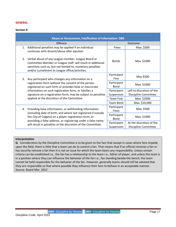#### <span id="page-16-0"></span>**GENERAL**

#### <span id="page-16-1"></span>**Section R**

<span id="page-16-2"></span>

| Abuse or Harassment, Falsification of Information- DBR |                                                                                                                                                                                                                                                                                                                      |                             |                                                   |  |
|--------------------------------------------------------|----------------------------------------------------------------------------------------------------------------------------------------------------------------------------------------------------------------------------------------------------------------------------------------------------------------------|-----------------------------|---------------------------------------------------|--|
| <b>Offence</b>                                         |                                                                                                                                                                                                                                                                                                                      | <b>Outcome</b>              |                                                   |  |
| 1.                                                     | Additional penalties may be applied if an individual                                                                                                                                                                                                                                                                 | Fines                       | Max. \$500                                        |  |
|                                                        | continues with dissent/abuse after ejection.<br>2. Verbal abuse of any League member, League Board or<br>Committee Member or League staff, will result in additional                                                                                                                                                 | <b>Bonds</b>                | Max. \$1000                                       |  |
|                                                        | sanctions such as, but not limited to, monetary penalties<br>and/or curtailment to League office/activities.                                                                                                                                                                                                         |                             |                                                   |  |
| 3.                                                     | Any participant who changes any information on a<br>registration form without the consent of the person<br>registered on such form or provides false or inaccurate                                                                                                                                                   | Participant<br>Fine         | Max \$500                                         |  |
|                                                        |                                                                                                                                                                                                                                                                                                                      | Participant<br>Bond         | Max. \$1000                                       |  |
|                                                        | information on such registration form, or falsifies a                                                                                                                                                                                                                                                                | Participant                 | Left to discretion of the                         |  |
|                                                        | signature on a registration form, may be subject to penalties<br>applied at the discretion of the Committee.                                                                                                                                                                                                         | Suspension                  | Discipline Committee.                             |  |
|                                                        |                                                                                                                                                                                                                                                                                                                      | <b>Team Fine</b>            | Max. \$2000                                       |  |
|                                                        |                                                                                                                                                                                                                                                                                                                      | Team Bond                   | Max. \$10,000                                     |  |
| 4.                                                     | Providing false information, or withholding information<br>(including date of birth, and where last registered if outside<br>the City of Calgary) on a player registration form, or<br>providing a false address, or registering under a false name,<br>will result in penalties at the discretion of the Committee. | Participant<br><b>Fines</b> | Max. \$500                                        |  |
|                                                        |                                                                                                                                                                                                                                                                                                                      | Participant<br>Bond         | Max. \$1000                                       |  |
|                                                        |                                                                                                                                                                                                                                                                                                                      | Participant<br>Suspension   | At the discretion of the<br>Discipline Committee. |  |

#### **Interpretation**

**Q** Consideration by the Discipline Committee is to be given to the fact that except in cases where fans impede upon the field, there is little that a team can do to control a fan. That means that if an official removes a fan or has security remove a fan then it is not an issue for which the team bears any responsibility. Unless certain criteria can be established i.e., the fan has a relationship to the team i.e., father of player, and unless the team is in a position where they can influence the behavior of the fan i.e., fan standing beside the bench, the team cannot be held responsible for the behavior of the fan. However, generally teams should still be advised that they are responsible so that where possible they influence their fans to behave in an acceptable manner. Source: Board Mar. 2012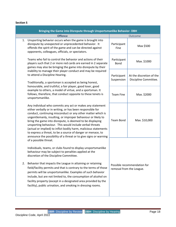# <span id="page-17-0"></span>**Section S**

<span id="page-17-1"></span>

| Bringing the Game into Disrepute through Unsportsmanlike Behavior-DBH                                                                                                                                                                                                                                                                                                                                                                                                                                                                                                                               |                                                         |                                                   |  |  |
|-----------------------------------------------------------------------------------------------------------------------------------------------------------------------------------------------------------------------------------------------------------------------------------------------------------------------------------------------------------------------------------------------------------------------------------------------------------------------------------------------------------------------------------------------------------------------------------------------------|---------------------------------------------------------|---------------------------------------------------|--|--|
| <b>Offence</b>                                                                                                                                                                                                                                                                                                                                                                                                                                                                                                                                                                                      | Outcome                                                 |                                                   |  |  |
| Unsporting behavior occurs when the game is brought into<br>1.<br>disrepute by unexpected or unprecedented behavior. It<br>offends the spirit of the game and can be directed against<br>opponents, colleagues, officials, or spectators.                                                                                                                                                                                                                                                                                                                                                           | Participant<br>Fine                                     | Max \$500                                         |  |  |
| Teams who fail to control the behavior and actions of their<br>players such that 2 or more red cards are earned in 2 separate<br>games may also be bringing the game into disrepute by their                                                                                                                                                                                                                                                                                                                                                                                                        | Participant<br>Bond                                     | Max. \$1000                                       |  |  |
| inability to manage their player conduct and may be required<br>to attend a Discipline Hearing.<br>Traditionally, a sportsman is accepted as being honest,                                                                                                                                                                                                                                                                                                                                                                                                                                          | Participant<br>Suspension                               | At the discretion of the<br>Discipline Committee. |  |  |
| honourable, and truthful, a fair player, good loser, good<br>example to others, a model of virtue, and a sportsman. It<br>follows, therefore, that conduct opposite to these tenets is<br>unsportsmanlike.                                                                                                                                                                                                                                                                                                                                                                                          | <b>Team Fine</b>                                        | Max. \$2000                                       |  |  |
| Any individual who commits any act or makes any statement<br>either verbally or in writing, or has been responsible for<br>conduct, continuing misconduct or any other matter which is<br>ungentlemanly, insulting, or improper behaviour or likely to<br>bring the game into disrepute, is deemed to be displaying<br>unsporting behaviour. This would include verbal threats<br>(actual or implied) to inflict bodily harm, malicious statements<br>to express a threat, to be a source of danger or menace, to<br>announce the possibility of a threat or to give signs or warning               | <b>Team Bond</b>                                        | Max. \$10,000                                     |  |  |
| of a possible threat.<br>Individuals, teams, or clubs found to display unsportsmanlike<br>behaviour may be subject to penalties applied at the<br>discretion of the Discipline Committee.<br>Behavior that impacts the League in attaining or retaining<br>2.<br>field/facility permits and that is contrary to the terms of those<br>permits will be unsportsmanlike. Examples of such behavior<br>include, but are not limited to, the consumption of alcohol on<br>facility property (except in a designated area provided by the<br>facility), public urination, and smoking in dressing rooms. | Possible recommendation for<br>removal from the League. |                                                   |  |  |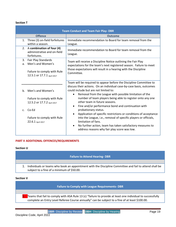#### <span id="page-18-0"></span>**Section T**

<span id="page-18-1"></span>

| <b>Team Conduct and Team Fair Play- DBR</b>                                                                                                                                   |                                                                                                                                                                                                                                                                                                                                                                                                                                                                                                                                                                                                                                                                                                                                                              |  |  |  |
|-------------------------------------------------------------------------------------------------------------------------------------------------------------------------------|--------------------------------------------------------------------------------------------------------------------------------------------------------------------------------------------------------------------------------------------------------------------------------------------------------------------------------------------------------------------------------------------------------------------------------------------------------------------------------------------------------------------------------------------------------------------------------------------------------------------------------------------------------------------------------------------------------------------------------------------------------------|--|--|--|
| <b>Offence</b>                                                                                                                                                                | <b>Outcome</b>                                                                                                                                                                                                                                                                                                                                                                                                                                                                                                                                                                                                                                                                                                                                               |  |  |  |
| Three (3) on-field forfeitures<br>1.<br>within a season.                                                                                                                      | Immediate recommendation to Board for team removal from the<br>League.                                                                                                                                                                                                                                                                                                                                                                                                                                                                                                                                                                                                                                                                                       |  |  |  |
| 2. A combination of four (4)<br>administrative and on-field<br>forfeitures.                                                                                                   | Immediate recommendation to Board for team removal from the<br>League.                                                                                                                                                                                                                                                                                                                                                                                                                                                                                                                                                                                                                                                                                       |  |  |  |
| Fair Play Standards<br>3.<br>Men's and Women's<br>a.<br>Failure to comply with Rule<br>12.5.1 or 17.7.1 April 2017                                                            | Team will receive a Discipline Notice outlining the Fair Play<br>expectations for the team's next registered season. Failure to meet<br>those expectations will result in a hearing with the Discipline<br>Committee.                                                                                                                                                                                                                                                                                                                                                                                                                                                                                                                                        |  |  |  |
| Men's and Women's<br>$h_{\cdot}$<br>Failure to comply with Rule<br>12.5.2 or 17.7.2 April 2017<br>Co-Ed<br>C <sub>1</sub><br>Failure to comply with Rule<br>22.6.1 April 2017 | Team will be required to appear before the Discipline Committee to<br>discuss their actions. On an individual case-by-case basis, outcomes<br>could include but are not limited to:<br>Removal from the League with possible limitation of the<br>$\bullet$<br>number of team players being able to register onto any one<br>other team in future seasons.<br>Fine and/or performance bond and continuation with<br>$\bullet$<br>probationary status.<br>Application of specific restrictions or conditions of acceptance<br>$\bullet$<br>into the League, i.e., removal of specific players or officials,<br>limitation of fans.<br>No further action, team has taken satisfactory measures to<br>$\bullet$<br>address reasons why fair play score was low. |  |  |  |

#### <span id="page-18-2"></span>**PART II ADDITIONAL OFFENCES/REQUIREMENTS**

#### <span id="page-18-4"></span><span id="page-18-3"></span>**Section U**

#### **Failure to Attend Hearing- DBR**

1. Individuals or teams who book an appointment with the Discipline Committee and fail to attend shall be subject to a fine of a minimum of \$50.00.

# <span id="page-18-6"></span><span id="page-18-5"></span>**Section V**

#### **Failure to Comply with League Requirements- DBR**

1. Teams that fail to comply with ASA Rule 13 (c) "failure to provide at least one individual to successfully complete an Entry Level Referee Course annually" can be subject to a fine of at least \$100.00.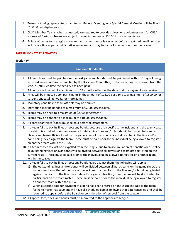- 2. Teams not being represented at an Annual General Meeting, or a Special General Meeting will be fined \$100.00 per eligible vote.
- 3. CUSA Member Teams, when requested, are required to provide at least one volunteer each for CUSA sponsored Casinos. Teams are subject to a minimum fine of \$50.00 for non-compliance.
- 4. Failure of teams to pay registration fees and other dues or levies on or before the stated deadline dates will incur a fine as per administrative guidelines and may be cause for expulsion from the League.

#### <span id="page-19-0"></span>**PART III MONETARY PENALTIES**

#### <span id="page-19-1"></span>**Section W**

<span id="page-19-2"></span>

| <b>Fines and Bonds- DBR</b> |                                                                                                                                                                                                                                                                                                                                                                                                                                                                                                                                                                                                                                                                                                                                                                                                                                                                                        |  |
|-----------------------------|----------------------------------------------------------------------------------------------------------------------------------------------------------------------------------------------------------------------------------------------------------------------------------------------------------------------------------------------------------------------------------------------------------------------------------------------------------------------------------------------------------------------------------------------------------------------------------------------------------------------------------------------------------------------------------------------------------------------------------------------------------------------------------------------------------------------------------------------------------------------------------------|--|
|                             |                                                                                                                                                                                                                                                                                                                                                                                                                                                                                                                                                                                                                                                                                                                                                                                                                                                                                        |  |
|                             | 1. All team fines must be paid before the next game and bonds must be paid in full within 30 days of being<br>assessed, unless otherwise directed by the Discipline Committee, or the team may be removed from the<br>league until such time the penalty has been paid.                                                                                                                                                                                                                                                                                                                                                                                                                                                                                                                                                                                                                |  |
|                             | 2. All bonds shall be held for a minimum of 24 months, effective the date that the payment was received.                                                                                                                                                                                                                                                                                                                                                                                                                                                                                                                                                                                                                                                                                                                                                                               |  |
| 3.                          | Fines will be imposed upon participants in the amount of \$15.00 per game to a maximum of \$500.00 for<br>suspensions totaling two (2) or more games.                                                                                                                                                                                                                                                                                                                                                                                                                                                                                                                                                                                                                                                                                                                                  |  |
| 4.                          | Monetary penalties to team officials may be doubled.                                                                                                                                                                                                                                                                                                                                                                                                                                                                                                                                                                                                                                                                                                                                                                                                                                   |  |
| 5.                          | Individuals may be bonded to a maximum of \$1000 per incident.                                                                                                                                                                                                                                                                                                                                                                                                                                                                                                                                                                                                                                                                                                                                                                                                                         |  |
| 6.                          | Teams may be fined to a maximum of \$2000 per incident.                                                                                                                                                                                                                                                                                                                                                                                                                                                                                                                                                                                                                                                                                                                                                                                                                                |  |
| 7.                          | Teams may be bonded to a maximum of \$10,000 per incident.                                                                                                                                                                                                                                                                                                                                                                                                                                                                                                                                                                                                                                                                                                                                                                                                                             |  |
|                             | 8. All participant fines/bonds must be paid before reinstatement.                                                                                                                                                                                                                                                                                                                                                                                                                                                                                                                                                                                                                                                                                                                                                                                                                      |  |
| 9.                          | If a team fails to pay its fines or post any bonds, because of a specific game incident, and the team ceases<br>to exist or is expelled from the League, all outstanding fines and/or bonds will be divided between all<br>players and team officials listed on the game sheet of the occurrence that resulted in the fine and/or<br>bond being levied against the team. These must be paid prior to the individual being allowed to register<br>on another team within the CUSA.                                                                                                                                                                                                                                                                                                                                                                                                      |  |
|                             | 10. If a team ceases to exist or is expelled from the League due to an accumulation of penalties or discipline,<br>all outstanding fines and/or bonds will be divided between all players and team officials listed on the<br>current roster. These must be paid prior to the individual being allowed to register on another team<br>within the League.                                                                                                                                                                                                                                                                                                                                                                                                                                                                                                                               |  |
|                             | 11. If a team fails to pay its fines or post any bonds levied against them, the following will apply:<br>The outstanding fines and/or bonds will be divided between all participants on the game sheet, the<br>a)<br>game sheet being that of the date of the incident that resulted in the fine and/or bond being levied<br>against the team. If the fine is not related to a game infraction, then the fine will be distributed to<br>participants on the team roster. These must be paid prior to the individual being allowed to register<br>on another team within the CUSA.<br>When a specific date for payment of a bond has been entered on the Discipline Notice the team<br>b)<br>failing to make that payment will have all scheduled games following that date cancelled and shall be<br>required to appear before the Board for consideration of removal from the League. |  |
|                             | 12. All appeal fees, fines, and bonds must be submitted to the appropriate League.                                                                                                                                                                                                                                                                                                                                                                                                                                                                                                                                                                                                                                                                                                                                                                                                     |  |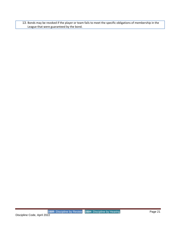<span id="page-20-0"></span>13. Bonds may be revoked if the player or team fails to meet the specific obligations of membership in the League that were guaranteed by the bond.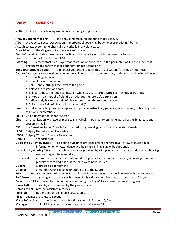# **PART IV DEFINITIONS**

Within this Code, the following words have meanings as provided.

#### **Annual General Meeting** the annual membership meeting of the League.

**ASA** the Alberta Soccer Association, the provincial governing body for soccer within Alberta.

**Assault** to attack someone physically or verbally in a violent way.

**Association** the Calgary United Soccer Association.

**Bench Official** includes those persons acting in the capacity of coach, manager, or trainer.

**Board** the Board of Directors of CUSA.

**Boarding** any contact by a player that forces an opponent to hit the perimeter wall in a manner that endangers the safety of that opponent. (Indoor game only).

**Bond (Performance Bond)** a financial guarantee to fulfill future obligations (previously not met).

**Caution**"A player is cautioned and shown the yellow card if they commits any of the seven following offences:

- 1. unsporting behaviour
- 2. dissent by word or action
- 3. persistently infringes the Laws of the game.
- 4. delays the restart of a game
- 5. fails to respect the required distance when play is restarted with a corner kick or free kick
- 6. enters or re-enters the field of play without the referee's permission
- 7. deliberately leaves the field of play without the referee's permission
- 8. Spits on the field of play (Indoor game only)"
- **Coach** an individual who provides or appears to provide instruction/guidance/direction and/or training to a team and its members.
- **Co-Ed** Co-Ed Recreational Indoor Soccer
- **Club** an organization with two or more teams, which share a common name, participating in at least one season annually.
- **CSA** the Canadian Soccer Association, the national governing body for soccer within Canada.
- **CUSA** Calgary United Soccer Association.
- **CWSA** Calgary Women's' Soccer Association
- **Default** see forfeiture.

**Discipline by Review (DBR)** discipline outcomes provided after administrative review of misconduct information only. Attendance at a hearing is still available, but optional.

**Discipline by Hearing (DBH)** discipline outcomes provided by Discipline Committee. Attendance at a hearing may or may not be mandatory.

**Dismissed** a term used when a red card issued to a player by a referee is removed, is no longer on that player's record and it is as if the card were never issued.

- **Dissent** expressed disagreement.
- **Director** a member who is elected or appointed to the Board.

**FIFA** the Federation Internationale de Football Association – the international governing body for soccer.

**Forfeiture** a game given up as a loss because of infractions committed by the team and or/players.

**Futsa**l the FIFA approved form of Indoor soccer recognized by ASA as a developmental program.

**Game ball** suitable, as so deemed by the game official.

**Game official** referee, assistant referees.

**Ineligible** not entitled or qualified, see Section L.

**Illegal** against the rules, see Section M.

# **Major Infraction** includes those infractions stated in Sections A, C – K.

**Manager** an individual who manages the affairs of the team/club.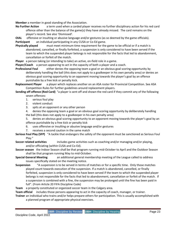**Member** a member in good standing of the Association.

- **No Further Action** a term used when a carded player receives no further disciplinary action for his red card offence other than the balance of the game(s) they have already missed. The card remains on the player's record. See also 'Dismissed'.
- **OIAL** offensive or insulting or abusive language and/or gestures (as so deemed by the game officials).

**Participant** an individual participating in any CUSA or Co-Ed game.

**Physically played** must meet minimum time requirement for the game to be official or if a match is abandoned, cancelled, or finally forfeited, a suspension is only considered to have been served if the team to which the suspended player belongs is not responsible for the facts that led to abandonment, cancellation or forfeit of the match.

**Player** a person taking (or intending to take) an active, on-field role in a game.

- **Player/Coach** a person appearing to act in the capacity of both a player and a coach.
- **Professional Foul** either denies the opposing team a goal or an obvious goal scoring opportunity by deliberately handling the ball (this does not apply to a goalkeeper in his own penalty area) or denies an obvious goal scoring opportunity to an opponent moving towards the player's goal by an offence punishable by a free kick or penalty kick.
- **Replacement Player** a player which replaces another on an ASA roster for Provincial Competition. See ASA Competition Rules for further guidelines around replacement players.

### **Sending off offence (Red Card)** "a player is sent off and shown the red card if they commit any of the following seven offences:

- 1. serious foul play
- 2. violent conduct
- 3. spits at an opponent or any other person
- 4. denies the opposing team a goal or an obvious goal scoring opportunity by deliberately handling the ball (this does not apply to a goalkeeper in his own penalty area)
- 5. denies an obvious goal scoring opportunity to an opponent moving towards the player's goal by an offence punishable by a free kick or penalty kick
- 6. uses offensive or insulting or abusive language and/or gestures
- 7. receives a second caution in the same match
- **Serious Foul Play (SFP)** "A tackle that endangers the safety of the opponent must be sanctioned as Serious Foul Play."
- **Soccer related activities** includes game activities such as coaching and/or managing and/or playing, and/or officiating (within CUSA and Co-Ed).
- **Soccer season** the Indoor Season shall be that program running mid-October to April and the Outdoor Season shall be that program running May to mid-October.
- **Special General Meeting** an additional general membership meeting of the League called to address issues specifically stated on the meeting notice.
- **Suspension** "A suspension is to be served in terms of matches or for a specific time. Only those matches played count towards execution of the suspension. If a match is abandoned, cancelled, or finally forfeited, suspension is only considered to have been served if the team to which the suspended player belongs is not responsible for the facts that led to abandonment, cancellation or forfeit of the match. If a suspension is combined with a fine, the suspension may be prolonged until the fine has been paid in full". (From Article 20 FIFA Discipline Code)
- **Team** a properly constituted or organized soccer team in the Calgary area.

**Team official** includes those persons appearing to act in the capacity of coach, manager, or trainer.

**Trainer** an individual who trains and/or helps prepare others for participation. This is usually accomplished with a planned program of appropriate physical exercises.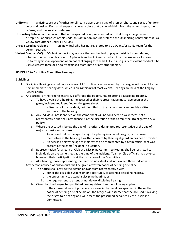- **Uniforms** a distinctive set of clothes for all team players consisting of a jersey, shorts and socks of uniform color and design. Each goalkeeper must wear colors that distinguish him from the other players, the referee, and the assistant referees.
- **Unsporting Behaviour** behaviour, that is unexpected or unprecedented, and that brings the game into disrepute. For purposes of this Code, this definition does not refer to the Unsporting Behaviour that is a yellow card offence under FIFA rules.
- **Unregistered participant** an individual who has not registered to a CUSA and/or Co-Ed team for the current season.
- **Violent Conduct (VC)** "Violent conduct may occur either on the field of play or outside its boundaries, whether the ball is in play or not. A player is guilty of violent conduct if he uses excessive force or brutality against an opponent when not challenging for the ball. He is also guilty of violent conduct if he uses excessive force or brutality against a team-mate or any other person."

### <span id="page-23-0"></span>**SCHEDULE A- Discipline Committee Hearings**

#### <span id="page-23-1"></span>**Guidelines**

- 1. Discipline Hearings are held once a week. All Discipline cases received by the League will be sent to the next immediate hearing date, which is on *Thursdays* of most weeks, Hearings are held at the Calgary Soccer Centre.
- 2. An accused, or their representative, is afforded the opportunity to attend a Discipline Hearing.
	- a. To have a voice at a hearing, the accused or their representative must have been at the game/incident and identified on the game sheet.
		- i. Witnesses of the incident, not identified on the game sheet, can provide written accounts to the hearing.
	- b. Any individual not identified on the game sheet will be considered as a witness, not a representative and their attendance is at the discretion of the Committee. (to align with ASA policy)
	- c. Where the accused is below the age of majority, a designated representative of the age of majority must also be present.
		- i. An accused below the age of majority, playing in an adult league, can represent themselves at the hearing if written consent by their legal guardian has been provided.
		- ii. An accused below the age of majority can be represented by a team official that was present at the game/incident in question.
	- d. Representation for a team or Club at a Discipline Committee Hearing shall be restricted to individuals on the game sheet at the time of the incident. Team or Club officials may attend; however, their participation is at the discretion of the Committee.
	- e. At a hearing those representing the team or individual shall not exceed three individuals.
- 3. Any person accused of misconduct shall be given a written notice of pending discipline.
	- a. The notice shall provide the person and/or team representative with
		- i. either the possible suspension or opportunity to attend a discipline hearing,
		- ii. the opportunity to attend a discipline hearing, or
		- iii. the requirement to attend a mandatory discipline hearing.
		- b. Given that the League has published hearing dates then the following applies.
			- i. If the accused does not provide a response in the timelines specified in the written notice of pending discipline action, the League will assume that the accused is waiving their right to a hearing and will accept the prescribed penalties by the Discipline Committee.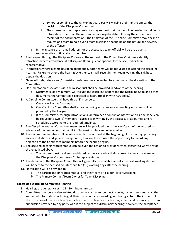- ii. By not responding to the written notice, a party is waiving their right to appeal the decision of the Discipline Committee.
- iii. The accused or their representative may request that the discipline hearing be held on a future date other than the next immediate regular date following the incident and the receipt of the documentation. The Chairman of the Discipline Committee may decline a request of a team to hold over a team discipline depending on the nature and severity of the offence.
- c. In the absence of an email address for the accused, a team official will be the player's representative until advised otherwise.
- 4. The League, through the Discipline Code or at the request of the Committee Chair, may identify infractions where attendance at a Discipline Hearing is not optional for the accused or team representative.
- 5. In situations where a game has been abandoned, both teams will be requested to attend the discipline hearing. Failure to attend the hearing by either team will result in their team waiving their right to appeal the decision.
- 6. Game officials, referee and/or assistant referees, may be invited to a hearing, at the discretion of the Committee.
- 7. Documentation associated with the misconduct shall be provided in advance of the hearing.
	- a. Documents, at a minimum, will include the Discipline Report and the Discipline Code and other documents the Committee is expected to hear. (to align with ASA policy)
- 8. A Discipline Committee shall have three (3) members.
	- a. One (1) will act as Chairman.
	- b. One (1) of the Committee shall act as recording secretary or a non-voting secretary will be provided by the League.
	- c. If the Committee, through introductions, determines a conflict of interest or bias, the panel can be reduced to two (2) members if agreed to in writing by the accused, or adjourned and rescheduled according to the required timelines.
- 9. The Discipline Hearing Committee members will be provided the name, club/team of the accused in advance of the hearing so that conflict of interest or bias can be determined.
- 10. The Committee members will be introduced to the accused at the beginning of the hearing, providing soccer affiliations and general backgrounds, to allow the accused the opportunity to record any objection to the Committee members before the hearing begins.
- 11. The accused or their representative can be given the option to provide written consent to waive any of the rules listed above.
	- a. The consent must be signed and dated by the accused or their representative and a member of the Discipline Committee or CUSA representative.
- 12. The decision of the Discipline Committee will generally be available verbally the next working day and will be sent to the accused no later than ten (10) working days after the hearing.
- 13. Notification will be provided to:
	- a. The participant, or representative, and their team official for Player Discipline.
	- b. The Primary Contact/Team Owner for Team Discipline

# <span id="page-24-0"></span>**Process of a Discipline Committee Hearing**

- 1. Hearings are generally set in 15 20-minute intervals.
- 2. Committee members review related documents such as misconduct reports, game sheets and any other submitted information, including, at their discretion, any recording, or photographs of the incident. At the discretion of the Discipline Committee, the Discipline Committee may accept and review any written submission provided by any party who is the subject of a disciplinary hearing; however, the acceptance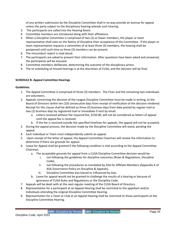of any written submission by the Discipline Committee shall in no way provide an avenue for appeal unless the party subject to the disciplinary hearing attends such hearing.

- 3. The participants are called into the Hearing Room.
- 4. Committee members are introduced along with their affiliations.
- 5. When a Discipline Committee is comprised of two (2) or fewer members, the player or team representative shall note on the Notice of Discipline their acceptance of the Committee. If the player or team representative requests a committee of at least three (3) members, the hearing shall be postponed until such time as three (3) members can be present.
- 6. The misconduct report is read aloud.
- 7. The participants are asked to present their information. After questions have been asked and answered, the participants will be excused.
- 8. Committee members deliberate, determining the outcome of the disciplinary action.
- 9. The re-scheduling of missed hearings is at the discretion of CUSA, and the decision will be final.

# <span id="page-25-0"></span>**SCHEDULE B- Appeal Committee Hearings**

#### <span id="page-25-1"></span>**Guidelines**

- 1. The Appeal Committee is comprised of three (3) members. The Chair and the remaining two individuals are volunteers.
- 2. Appeals concerning the decision of the League Discipline Committee must be made in writing, to the Board of Directors within ten (10) consecutive days from receipt of notification of the decision rendered. Receipt for this clause shall be defined as three (3) business days from date posted by regular mail or two (2) business days by registered mail or immediate if sent by email.
	- a. Letters received without the required fee, \$150.00, will not be considered as letters of appeal until the appeal fee is received.
	- b. If the fee is received outside the specified timelines for appeals, the appeal will not be accepted.
- 3. During the appeal process, the decision made by the Discipline Committee will stand, pending the appeal.
- 4. Each Individual or Team must independently submit an appeal.
- 5. Upon receipt of the letter of appeal, the Appeal Committee Chairman will review the information to determine if there are grounds for appeal.
- 6. Leave for Appeal shall be granted if the following condition is met according to the Appeal Committee Chairman.
	- a. The acceptable grounds for appeal from a CUSA Discipline Committee decision would be:
		- i. not following the guidelines for discipline outcomes (Rules & Regulations, Discipline Code),
		- ii. not following the procedures as mandated by ASA for Affiliate Members (Appendix A of ASA Governance Policy on Discipline & Appeals),
		- iii. Discipline Committee was biased or influenced by bias.
	- b. Leave for appeal would not be granted to challenge the results of a hearing or because of ignorance of CUSA Rules and Regulations or the Discipline Code.
- 7. Appeals will be dealt with at the next regular meeting of the CUSA Board of Directors.
- 8. Representation for a participant at an Appeal Hearing shall be restricted to the appellant and/or individuals attending the original Discipline Committee Hearing.
- 9. Representation for a Team or Club at an Appeal Hearing shall be restricted to those participants at the Discipline Committee Hearing.